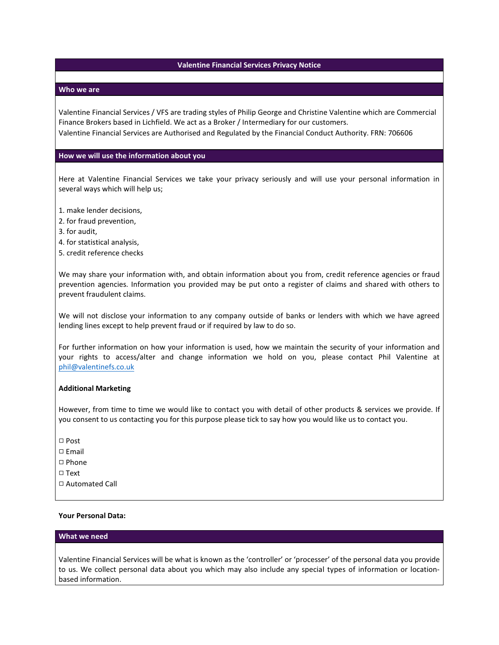# **Valentine Financial Services Privacy Notice**

## **Who we are**

Valentine Financial Services / VFS are trading styles of Philip George and Christine Valentine which are Commercial Finance Brokers based in Lichfield. We act as a Broker / Intermediary for our customers. Valentine Financial Services are Authorised and Regulated by the Financial Conduct Authority. FRN: 706606

## **How we will use the information about you**

Here at Valentine Financial Services we take your privacy seriously and will use your personal information in several ways which will help us;

- 1. make lender decisions,
- 2. for fraud prevention,
- 3. for audit,
- 4. for statistical analysis,
- 5. credit reference checks

We may share your information with, and obtain information about you from, credit reference agencies or fraud prevention agencies. Information you provided may be put onto a register of claims and shared with others to prevent fraudulent claims.

We will not disclose your information to any company outside of banks or lenders with which we have agreed lending lines except to help prevent fraud or if required by law to do so.

For further information on how your information is used, how we maintain the security of your information and your rights to access/alter and change information we hold on you, please contact Phil Valentine at [phil@valentinefs.co.uk](mailto:phil@valentinefs.co.uk)

#### **Additional Marketing**

However, from time to time we would like to contact you with detail of other products & services we provide. If you consent to us contacting you for this purpose please tick to say how you would like us to contact you.

- □ Post
- $\square$  Email
- 9 Phone
- □ Text
- 9 Automated Call

## **Your Personal Data:**

# **What we need**

Valentine Financial Services will be what is known as the 'controller' or 'processer' of the personal data you provide to us. We collect personal data about you which may also include any special types of information or locationbased information.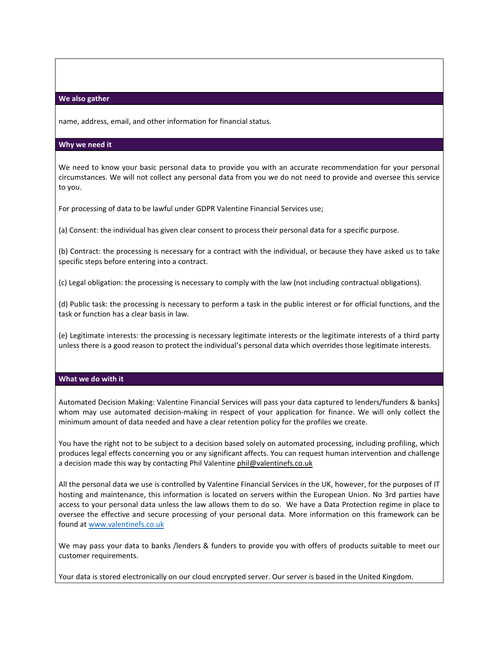## **We also gather**

name, address, email, and other information for financial status.

#### **Why we need it**

We need to know your basic personal data to provide you with an accurate recommendation for your personal circumstances. We will not collect any personal data from you we do not need to provide and oversee this service to you.

For processing of data to be lawful under GDPR Valentine Financial Services use;

(a) Consent: the individual has given clear consent to process their personal data for a specific purpose.

(b) Contract: the processing is necessary for a contract with the individual, or because they have asked us to take specific steps before entering into a contract.

(c) Legal obligation: the processing is necessary to comply with the law (not including contractual obligations).

(d) Public task: the processing is necessary to perform a task in the public interest or for official functions, and the task or function has a clear basis in law.

(e) Legitimate interests: the processing is necessary legitimate interests or the legitimate interests of a third party unless there is a good reason to protect the individual's personal data which overrides those legitimate interests.

# **What we do with it**

Automated Decision Making: Valentine Financial Services will pass your data captured to lenders/funders & banks] whom may use automated decision-making in respect of your application for finance. We will only collect the minimum amount of data needed and have a clear retention policy for the profiles we create.

You have the right not to be subject to a decision based solely on automated processing, including profiling, which produces legal effects concerning you or any significant affects. You can request human intervention and challenge a decision made this way by contacting Phil Valentine [phil@valentinefs.co.uk](mailto:phil@valentinefs.co.uk)

All the personal data we use is controlled by Valentine Financial Services in the UK, however, for the purposes of IT hosting and maintenance, this information is located on servers within the European Union. No 3rd parties have access to your personal data unless the law allows them to do so. We have a Data Protection regime in place to oversee the effective and secure processing of your personal data. More information on this framework can be found at [www.valentinefs.co.uk](http://www.valentinefs.co.uk)

We may pass your data to banks /lenders & funders to provide you with offers of products suitable to meet our customer requirements.

Your data is stored electronically on our cloud encrypted server. Our server is based in the United Kingdom.